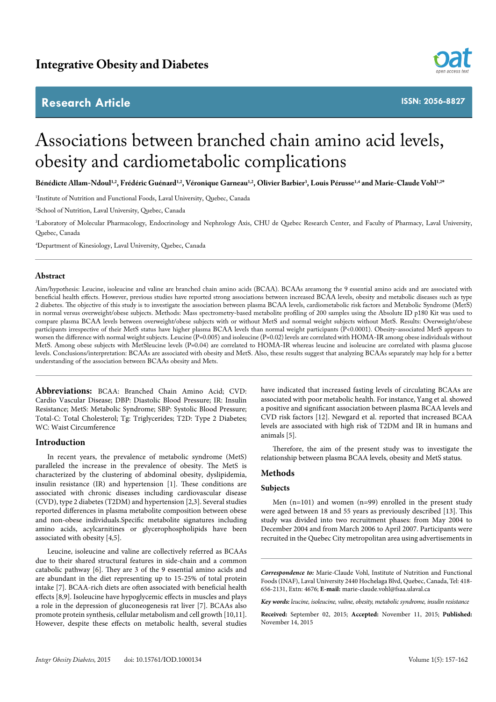# **Research Article**



**ISSN: 2056-8827**

# Associations between branched chain amino acid levels, obesity and cardiometabolic complications

Bénédicte Allam-Ndoul<sup>1,2</sup>, Frédéric Guénard<sup>1,2</sup>, Véronique Garneau<sup>1,2</sup>, Olivier Barbier<sup>3</sup>, Louis Pérusse<sup>1,4</sup> and Marie-Claude Vohl<sup>1,2\*</sup>

1 Institute of Nutrition and Functional Foods, Laval University, Quebec, Canada

2 School of Nutrition, Laval University, Quebec, Canada

3 Laboratory of Molecular Pharmacology, Endocrinology and Nephrology Axis, CHU de Quebec Research Center, and Faculty of Pharmacy, Laval University, Quebec, Canada

4 Department of Kinesiology, Laval University, Quebec, Canada

# **Abstract**

Aim/hypothesis: Leucine, isoleucine and valine are branched chain amino acids (BCAA). BCAAs areamong the 9 essential amino acids and are associated with beneficial health effects. However, previous studies have reported strong associations between increased BCAA levels, obesity and metabolic diseases such as type 2 diabetes. The objective of this study is to investigate the association between plasma BCAA levels, cardiometabolic risk factors and Metabolic Syndrome (MetS) in normal versus overweight/obese subjects. Methods: Mass spectrometry-based metabolite profiling of 200 samples using the Absolute ID p180 Kit was used to compare plasma BCAA levels between overweight/obese subjects with or without MetS and normal weight subjects without MetS. Results: Overweight/obese participants irrespective of their MetS status have higher plasma BCAA levels than normal weight participants (P<0.0001). Obesity-associated MetS appears to worsen the difference with normal weight subjects. Leucine (P=0.005) and isoleucine (P=0.02) levels are correlated with HOMA-IR among obese individuals without MetS. Among obese subjects with MetSleucine levels (P=0.04) are correlated to HOMA-IR whereas leucine and isoleucine are correlated with plasma glucose levels. Conclusions/interpretation: BCAAs are associated with obesity and MetS. Also, these results suggest that analyzing BCAAs separately may help for a better understanding of the association between BCAAs obesity and Mets.

**Abbreviations:** BCAA: Branched Chain Amino Acid; CVD: Cardio Vascular Disease; DBP: Diastolic Blood Pressure; IR: Insulin Resistance; MetS: Metabolic Syndrome; SBP: Systolic Blood Pressure; Total-C: Total Cholesterol; Tg: Triglycerides; T2D: Type 2 Diabetes; WC: Waist Circumference

# **Introduction**

In recent years, the prevalence of metabolic syndrome (MetS) paralleled the increase in the prevalence of obesity. The MetS is characterized by the clustering of abdominal obesity, dyslipidemia, insulin resistance (IR) and hypertension [1]. These conditions are associated with chronic diseases including cardiovascular disease (CVD), type 2 diabetes (T2DM) and hypertension [2,3]. Several studies reported differences in plasma metabolite composition between obese and non-obese individuals.Specific metabolite signatures including amino acids, acylcarnitines or glycerophospholipids have been associated with obesity [4,5].

Leucine, isoleucine and valine are collectively referred as BCAAs due to their shared structural features in side-chain and a common catabolic pathway [6]. They are 3 of the 9 essential amino acids and are abundant in the diet representing up to 15-25% of total protein intake [7]. BCAA-rich diets are often associated with beneficial health effects [8,9]. Isoleucine have hypoglycemic effects in muscles and plays a role in the depression of gluconeogenesis rat liver [7]. BCAAs also promote protein synthesis, cellular metabolism and cell growth [10,11]. However, despite these effects on metabolic health, several studies

have indicated that increased fasting levels of circulating BCAAs are associated with poor metabolic health. For instance, Yang et al. showed a positive and significant association between plasma BCAA levels and CVD risk factors [12]. Newgard et al. reported that increased BCAA levels are associated with high risk of T2DM and IR in humans and animals [5].

Therefore, the aim of the present study was to investigate the relationship between plasma BCAA levels, obesity and MetS status.

# **Methods**

## **Subjects**

Men (n=101) and women (n=99) enrolled in the present study were aged between 18 and 55 years as previously described [13]. This study was divided into two recruitment phases: from May 2004 to December 2004 and from March 2006 to April 2007. Participants were recruited in the Quebec City metropolitan area using advertisements in

*Correspondence to:* Marie-Claude Vohl, Institute of Nutrition and Functional Foods (INAF), Laval University 2440 Hochelaga Blvd, Quebec, Canada, Tel: 418- 656-2131, Extn: 4676; **E-mail:** marie-claude.vohl@fsaa.ulaval.ca

*Key words: leucine, isoleucine, valine, obesity, metabolic syndrome, insulin resistance*

**Received:** September 02, 2015; **Accepted:** November 11, 2015; **Published:**  November 14, 2015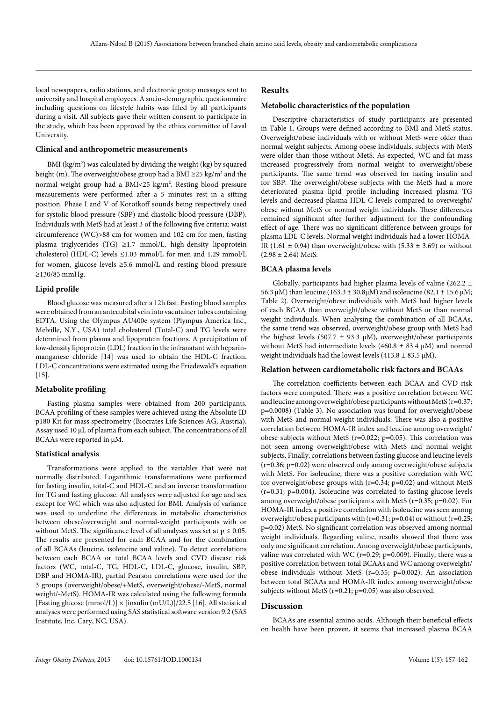local newspapers, radio stations, and electronic group messages sent to university and hospital employees. A socio-demographic questionnaire including questions on lifestyle habits was filled by all participants during a visit. All subjects gave their written consent to participate in the study, which has been approved by the ethics committee of Laval University.

#### **Clinical and anthropometric measurements**

BMI (kg/m<sup>2</sup>) was calculated by dividing the weight (kg) by squared height (m). The overweight/obese group had a BMI ≥25 kg/m<sup>2</sup> and the normal weight group had a BMI<25 kg/m<sup>2</sup>. Resting blood pressure measurements were performed after a 5 minutes rest in a sitting position. Phase I and V of Korotkoff sounds being respectively used for systolic blood pressure (SBP) and diastolic blood pressure (DBP). Individuals with MetS had at least 3 of the following five criteria: waist circumference (WC)>88 cm for women and 102 cm for men, fasting plasma triglycerides (TG) ≥1.7 mmol/L, high-density lipoprotein cholesterol (HDL-C) levels ≤1.03 mmol/L for men and 1.29 mmol/L for women, glucose levels ≥5.6 mmol/L and resting blood pressure ≥130/85 mmHg.

#### **Lipid profile**

Blood glucose was measured after a 12h fast. Fasting blood samples were obtained from an antecubital vein into vacutainer tubes containing EDTA. Using the Olympus AU400e system (Plympus America Inc., Melville, N.Y., USA) total cholesterol (Total-C) and TG levels were determined from plasma and lipoprotein fractions. A precipitation of low-density lipoprotein (LDL) fraction in the infranatant with heparinmanganese chloride [14] was used to obtain the HDL-C fraction. LDL-C concentrations were estimated using the Friedewald's equation  $[15]$ .

## **Metabolite profiling**

Fasting plasma samples were obtained from 200 participants. BCAA profiling of these samples were achieved using the Absolute ID p180 Kit for mass spectrometry (Biocrates Life Sciences AG, Austria). Assay used 10 µL of plasma from each subject. The concentrations of all BCAAs were reported in µM.

#### **Statistical analysis**

Transformations were applied to the variables that were not normally distributed. Logarithmic transformations were performed for fasting insulin, total-C and HDL-C and an inverse transformation for TG and fasting glucose. All analyses were adjusted for age and sex except for WC which was also adjusted for BMI. Analysis of variance was used to underline the differences in metabolic characteristics between obese/overweight and normal-weight participants with or without MetS. The significance level of all analyses was set at  $p \le 0.05$ . The results are presented for each BCAA and for the combination of all BCAAs (leucine, isoleucine and valine). To detect correlations between each BCAA or total BCAA levels and CVD disease risk factors (WC, total-C, TG, HDL-C, LDL-C, glucose, insulin, SBP, DBP and HOMA-IR), partial Pearson correlations were used for the 3 groups (overweight/obese/+MetS, overweight/obese/-MetS, normal weight/-MetS). HOMA-IR was calculated using the following formula [Fasting glucose (mmol/L)]  $\times$  [insulin (mU/L)]/22.5 [16]. All statistical analyses were performed using SAS statistical software version 9.2 (SAS Institute, Inc, Cary, NC, USA).

# **Results**

#### **Metabolic characteristics of the population**

Descriptive characteristics of study participants are presented in Table 1. Groups were defined according to BMI and MetS status. Overweight/obese individuals with or without MetS were older than normal weight subjects. Among obese individuals, subjects with MetS were older than those without MetS. As expected, WC and fat mass increased progressively from normal weight to overweight/obese participants. The same trend was observed for fasting insulin and for SBP. The overweight/obese subjects with the MetS had a more deteriorated plasma lipid profile including increased plasma TG levels and decreased plasma HDL-C levels compared to overweight/ obese without MetS or normal weight individuals. These differences remained significant after further adjustment for the confounding effect of age. There was no significant difference between groups for plasma LDL-C levels. Normal weight individuals had a lower HOMA-IR (1.61  $\pm$  0.94) than overweight/obese with (5.33  $\pm$  3.69) or without  $(2.98 \pm 2.64)$  MetS.

#### **BCAA plasma levels**

Globally, participants had higher plasma levels of valine (262.2  $\pm$ 56.3  $\mu$ M) than leucine (163.3 ± 30.8 $\mu$ M) and isoleucine (82.1 ± 15.6  $\mu$ M; Table 2). Overweight/obese individuals with MetS had higher levels of each BCAA than overweight/obese without MetS or than normal weight individuals. When analysing the combination of all BCAAs, the same trend was observed, overweight/obese group with MetS had the highest levels (507.7  $\pm$  93.3 µM), overweight/obese participants without MetS had intermediate levels (460.8  $\pm$  83.4 µM) and normal weight individuals had the lowest levels (413.8  $\pm$  83.5 µM).

#### **Relation between cardiometabolic risk factors and BCAAs**

The correlation coefficients between each BCAA and CVD risk factors were computed. There was a positive correlation between WC and leucine among overweight/obese participants without MetS (r=0.37; p=0.0008) (Table 3). No association was found for overweight/obese with MetS and normal weight individuals. There was also a positive correlation between HOMA-IR index and leucine among overweight/ obese subjects without MetS (r=0.022; p=0.05). This correlation was not seen among overweight/obese with MetS and normal weight subjects. Finally, correlations between fasting glucose and leucine levels (r=0.36; p=0.02) were observed only among overweight/obese subjects with MetS. For isoleucine, there was a positive correlation with WC for overweight/obese groups with  $(r=0.34; p=0.02)$  and without MetS (r=0.31; p=0.004). Isoleucine was correlated to fasting glucose levels among overweight/obese participants with MetS ( $r=0.35$ ;  $p=0.02$ ). For HOMA-IR index a positive correlation with isoleucine was seen among overweight/obese participants with (r=0.31; p=0.04) or without (r=0.25; p=0.02) MetS. No significant correlation was observed among normal weight individuals. Regarding valine, results showed that there was only one significant correlation. Among overweight/obese participants, valine was correlated with WC ( $r=0.29$ ;  $p=0.009$ ). Finally, there was a positive correlation between total BCAAs and WC among overweight/ obese individuals without MetS (r=0.35; p=0.002). An association between total BCAAs and HOMA-IR index among overweight/obese subjects without MetS (r=0.21; p=0.05) was also observed.

#### **Discussion**

BCAAs are essential amino acids. Although their beneficial effects on health have been proven, it seems that increased plasma BCAA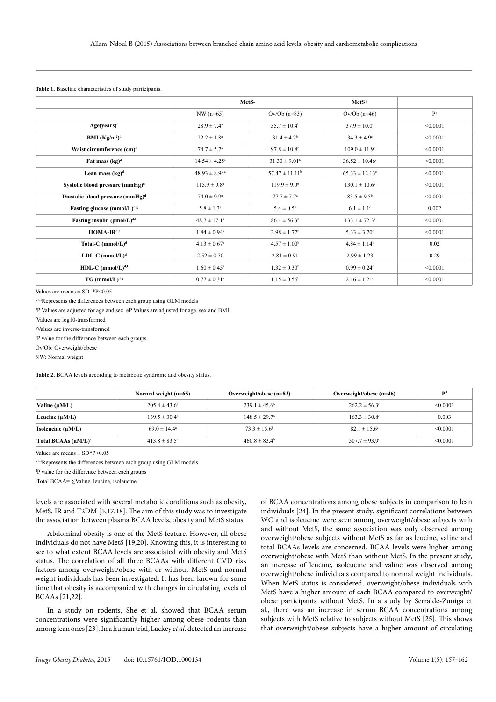|                                                |                               | MetS-                        | MetS+                         |          |
|------------------------------------------------|-------------------------------|------------------------------|-------------------------------|----------|
|                                                | $NW (n=65)$                   | $Ov/Ob$ (n=83)               | $Ov/Ob$ (n=46)                | $P^x$    |
| Age(years) <sup>d</sup>                        | $28.9 \pm 7.4^{\circ}$        | $35.7 \pm 10.4^{\rm b}$      | $37.9 \pm 10.0^{\circ}$       | < 0.0001 |
| BMI $(Kg/m2)d$                                 | $22.2 \pm 1.8^a$              | $31.4 \pm 4.2^b$             | $34.3 \pm 4.9^{\circ}$        | < 0.0001 |
| Waist circumference $(cm)^e$                   | $74.7 \pm 5.7^{\circ}$        | $97.8 \pm 10.8^{\rm b}$      | $109.0 \pm 11.9$ <sup>c</sup> | < 0.0001 |
| Fat mass (kg) <sup>d</sup>                     | $14.54 \pm 4.25^a$            | $31.30 \pm 9.01^{\rm b}$     | $36.52 \pm 10.46^{\circ}$     | < 0.0001 |
| Lean mass $(kg)^d$                             | $48.93 \pm 8.94$ <sup>a</sup> | $57.47 \pm 11.11^b$          | $65.33 \pm 12.13$ °           | < 0.0001 |
| Systolic blood pressure (mmHg) <sup>d</sup>    | $115.9 \pm 9.8^{\mathrm{a}}$  | $119.9 \pm 9.0^{\circ}$      | $130.1 \pm 10.6$ <sup>c</sup> | < 0.0001 |
| Diastolic blood pressure (mmHg) <sup>d</sup>   | $74.0 \pm 9.9^{\circ}$        | $77.7 \pm 7.7^{\circ}$       | $83.5 \pm 9.5^{\rm b}$        | < 0.0001 |
| Fasting glucose (mmol/L) <sup>d,g</sup>        | $5.8 \pm 1.3^{\circ}$         | $5.4 \pm 0.5^{\rm b}$        | $6.1 \pm 1.1$ <sup>c</sup>    | 0.002    |
| Fasting insulin ( $\rho$ mol/L) <sup>d,f</sup> | $48.7 \pm 17.1^{\circ}$       | $86.1 \pm 56.3^b$            | $133.1 \pm 72.3$ °            | < 0.0001 |
| HOMA-IR <sup>d,f</sup>                         | $1.84 \pm 0.94$ <sup>a</sup>  | $2.98 \pm 1.77$ <sup>b</sup> | $5.33 \pm 3.70$ <sup>c</sup>  | < 0.0001 |
| Total-C $(mmol/L)^d$                           | $4.13 \pm 0.67$ <sup>a</sup>  | $4.57 \pm 1.00^b$            | $4.84 \pm 1.14^b$             | 0.02     |
| LDL-C $(mmol/L)^d$                             | $2.52 \pm 0.70$               | $2.81 \pm 0.91$              | $2.99 \pm 1.23$               | 0.29     |
| $HDL-C$ (mmol/L) <sup>d,f</sup>                | $1.60 \pm 0.45^{\circ}$       | $1.32 \pm 0.30^b$            | $0.99 \pm 0.24^{\circ}$       | < 0.0001 |
| $TG$ (mmol/L) <sup>d,g</sup>                   | $0.77 \pm 0.31$ <sup>a</sup>  | $1.15 \pm 0.56$ <sup>b</sup> | $2.16 \pm 1.21$ <sup>c</sup>  | < 0.0001 |

#### **Table 1.** Baseline characteristics of study participants.

Values are means  $\pm$  SD. \*P<0.05

a,b,cRepresents the differences between each group using GLM models

d P Values are adjusted for age and sex. eP Values are adjusted for age, sex and BMI

f Values are log10-transformed

g Values are inverse-transformed

x P value for the difference between each groups

Ov/Ob: Overweight/obese

NW: Normal weight

**Table 2.** BCAA levels according to metabolic syndrome and obesity status.

|                           | Normal weight $(n=65)$   | Overweight/obese (n=83)       | Overweight/obese $(n=46)$     | Pd       |
|---------------------------|--------------------------|-------------------------------|-------------------------------|----------|
| Valine $(\mu M/L)$        | $205.4 \pm 43.6^{\circ}$ | $239.1 \pm 45.6^{\circ}$      | $262.2 \pm 56.3^{\circ}$      | < 0.0001 |
| Leucine (µM/L)            | $139.5 \pm 30.4^{\circ}$ | $148.5 \pm 29.7$ <sup>b</sup> | $163.3 \pm 30.8$ <sup>c</sup> | 0.003    |
| Isoleucine $(\mu M/L)$    | $69.0 \pm 14.4^{\circ}$  | $73.3 \pm 15.6^{\rm b}$       | $82.1 \pm 15.6$ °             | < 0.0001 |
| Total BCAAs $(\mu M/L)^e$ | $413.8 \pm 83.5^{\circ}$ | $460.8 \pm 83.4^{\circ}$      | $507.7 \pm 93.9^{\circ}$      | < 0.0001 |

Values are means  $\pm$  SD\*P<0.05

a,b,cRepresents the differences between each group using GLM models

d P value for the difference between each groups

e Total BCAA= ∑Valine, leucine, isoleucine

levels are associated with several metabolic conditions such as obesity, MetS, IR and T2DM [5,17,18]. The aim of this study was to investigate the association between plasma BCAA levels, obesity and MetS status.

Abdominal obesity is one of the MetS feature. However, all obese individuals do not have MetS [19,20]. Knowing this, it is interesting to see to what extent BCAA levels are associated with obesity and MetS status. The correlation of all three BCAAs with different CVD risk factors among overweight/obese with or without MetS and normal weight individuals has been investigated. It has been known for some time that obesity is accompanied with changes in circulating levels of BCAAs [21,22].

In a study on rodents, She et al. showed that BCAA serum concentrations were significantly higher among obese rodents than among lean ones [23]. In a human trial, Lackey *et al.* detected an increase of BCAA concentrations among obese subjects in comparison to lean individuals [24]. In the present study, significant correlations between WC and isoleucine were seen among overweight/obese subjects with and without MetS, the same association was only observed among overweight/obese subjects without MetS as far as leucine, valine and total BCAAs levels are concerned. BCAA levels were higher among overweight/obese with MetS than without MetS. In the present study, an increase of leucine, isoleucine and valine was observed among overweight/obese individuals compared to normal weight individuals. When MetS status is considered, overweight/obese individuals with MetS have a higher amount of each BCAA compared to overweight/ obese participants without MetS. In a study by Serralde-Zuniga et al., there was an increase in serum BCAA concentrations among subjects with MetS relative to subjects without MetS [25]. This shows that overweight/obese subjects have a higher amount of circulating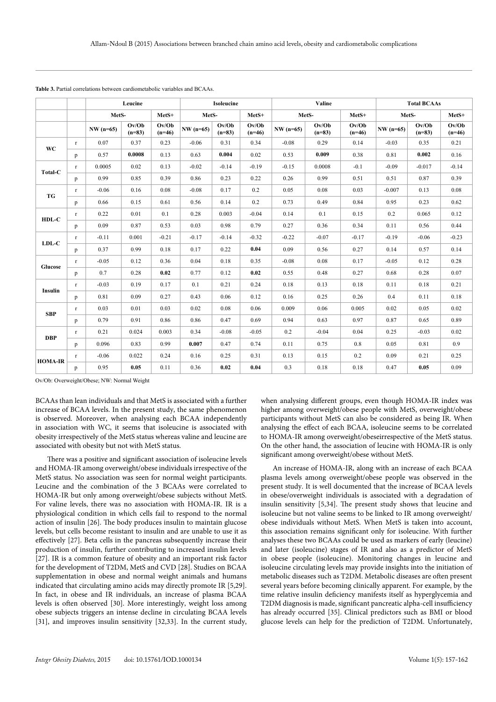|                |              |             | Leucine           |                   |             | Isoleucine        |                   |             | Valine            |                   |             | <b>Total BCAAs</b> |                   |
|----------------|--------------|-------------|-------------------|-------------------|-------------|-------------------|-------------------|-------------|-------------------|-------------------|-------------|--------------------|-------------------|
|                |              | MetS-       |                   | MetS+             | MetS-       |                   | MetS+             |             | MetS-             | MetS+             | MetS-       |                    | MetS+             |
|                |              | $NW (n=65)$ | Ov/Ob<br>$(n=83)$ | Ov/Ob<br>$(n=46)$ | $NW (n=65)$ | Ov/Ob<br>$(n=83)$ | Ov/Ob<br>$(n=46)$ | $NW (n=65)$ | Ov/Ob<br>$(n=83)$ | Ov/Ob<br>$(n=46)$ | $NW (n=65)$ | Ov/Ob<br>$(n=83)$  | Ov/Ob<br>$(n=46)$ |
| <b>WC</b>      | $\Gamma$     | 0.07        | 0.37              | 0.23              | $-0.06$     | 0.31              | 0.34              | $-0.08$     | 0.29              | 0.14              | $-0.03$     | 0.35               | 0.21              |
|                | p            | 0.57        | 0.0008            | 0.13              | 0.63        | 0.004             | 0.02              | 0.53        | 0.009             | 0.38              | 0.81        | 0.002              | 0.16              |
| Total-C        | r            | 0.0005      | 0.02              | 0.13              | $-0.02$     | $-0.14$           | $-0.19$           | $-0.15$     | 0.0008            | $-0.1$            | $-0.09$     | $-0.017$           | $-0.14$           |
|                | p            | 0.99        | 0.85              | 0.39              | 0.86        | 0.23              | 0.22              | 0.26        | 0.99              | 0.51              | 0.51        | 0.87               | 0.39              |
| TG             | $\mathbf{r}$ | $-0.06$     | 0.16              | 0.08              | $-0.08$     | 0.17              | 0.2               | 0.05        | 0.08              | 0.03              | $-0.007$    | 0.13               | 0.08              |
|                | p            | 0.66        | 0.15              | 0.61              | 0.56        | 0.14              | 0.2               | 0.73        | 0.49              | 0.84              | 0.95        | 0.23               | 0.62              |
|                | r            | 0.22        | 0.01              | 0.1               | 0.28        | 0.003             | $-0.04$           | 0.14        | 0.1               | 0.15              | 0.2         | 0.065              | 0.12              |
| HDL-C          | p            | 0.09        | 0.87              | 0.53              | 0.03        | 0.98              | 0.79              | 0.27        | 0.36              | 0.34              | 0.11        | 0.56               | 0.44              |
| $LDL-C$        | r            | $-0.11$     | 0.001             | $-0.21$           | $-0.17$     | $-0.14$           | $-0.32$           | $-0.22$     | $-0.07$           | $-0.17$           | $-0.19$     | $-0.06$            | $-0.23$           |
|                | p            | 0.37        | 0.99              | 0.18              | 0.17        | 0.22              | 0.04              | 0.09        | 0.56              | 0.27              | 0.14        | 0.57               | 0.14              |
| Glucose        | $\mathbf r$  | $-0.05$     | 0.12              | 0.36              | 0.04        | 0.18              | 0.35              | $-0.08$     | 0.08              | 0.17              | $-0.05$     | 0.12               | 0.28              |
|                | p            | 0.7         | 0.28              | 0.02              | 0.77        | 0.12              | 0.02              | 0.55        | 0.48              | 0.27              | 0.68        | 0.28               | 0.07              |
| Insulin        | $\mathbf{r}$ | $-0.03$     | 0.19              | 0.17              | 0.1         | 0.21              | 0.24              | 0.18        | 0.13              | 0.18              | 0.11        | 0.18               | 0.21              |
|                | p            | 0.81        | 0.09              | 0.27              | 0.43        | 0.06              | 0.12              | 0.16        | 0.25              | 0.26              | 0.4         | 0.11               | 0.18              |
| <b>SBP</b>     | r            | 0.03        | 0.01              | 0.03              | 0.02        | 0.08              | 0.06              | 0.009       | 0.06              | 0.005             | 0.02        | 0.05               | 0.02              |
|                | p            | 0.79        | 0.91              | 0.86              | 0.86        | 0.47              | 0.69              | 0.94        | 0.63              | 0.97              | 0.87        | 0.65               | 0.89              |
| <b>DBP</b>     | $\mathbf r$  | 0.21        | 0.024             | 0.003             | 0.34        | $-0.08$           | $-0.05$           | 0.2         | $-0.04$           | 0.04              | 0.25        | $-0.03$            | 0.02              |
|                | p            | 0.096       | 0.83              | 0.99              | 0.007       | 0.47              | 0.74              | 0.11        | 0.75              | 0.8               | 0.05        | 0.81               | 0.9               |
| <b>HOMA-IR</b> | r            | $-0.06$     | 0.022             | 0.24              | 0.16        | 0.25              | 0.31              | 0.13        | 0.15              | 0.2               | 0.09        | 0.21               | 0.25              |
|                | p            | 0.95        | 0.05              | 0.11              | 0.36        | 0.02              | 0.04              | 0.3         | 0.18              | 0.18              | 0.47        | 0.05               | 0.09              |

|--|

Ov/Ob: Overweight/Obese; NW: Normal Weight

BCAAs than lean individuals and that MetS is associated with a further increase of BCAA levels. In the present study, the same phenomenon is observed. Moreover, when analysing each BCAA independently in association with WC, it seems that isoleucine is associated with obesity irrespectively of the MetS status whereas valine and leucine are associated with obesity but not with MetS status.

There was a positive and significant association of isoleucine levels and HOMA-IR among overweight/obese individuals irrespective of the MetS status. No association was seen for normal weight participants. Leucine and the combination of the 3 BCAAs were correlated to HOMA-IR but only among overweight/obese subjects without MetS. For valine levels, there was no association with HOMA-IR. IR is a physiological condition in which cells fail to respond to the normal action of insulin [26]. The body produces insulin to maintain glucose levels, but cells become resistant to insulin and are unable to use it as effectively [27]. Beta cells in the pancreas subsequently increase their production of insulin, further contributing to increased insulin levels [27]. IR is a common feature of obesity and an important risk factor for the development of T2DM, MetS and CVD [28]. Studies on BCAA supplementation in obese and normal weight animals and humans indicated that circulating amino acids may directly promote IR [5,29]. In fact, in obese and IR individuals, an increase of plasma BCAA levels is often observed [30]. More interestingly, weight loss among obese subjects triggers an intense decline in circulating BCAA levels [31], and improves insulin sensitivity [32,33]. In the current study,

when analysing different groups, even though HOMA-IR index was higher among overweight/obese people with MetS, overweight/obese participants without MetS can also be considered as being IR. When analysing the effect of each BCAA, isoleucine seems to be correlated to HOMA-IR among overweight/obeseirrespective of the MetS status. On the other hand, the association of leucine with HOMA-IR is only significant among overweight/obese without MetS.

An increase of HOMA-IR, along with an increase of each BCAA plasma levels among overweight/obese people was observed in the present study. It is well documented that the increase of BCAA levels in obese/overweight individuals is associated with a degradation of insulin sensitivity [5,34]. The present study shows that leucine and isoleucine but not valine seems to be linked to IR among overweight/ obese individuals without MetS. When MetS is taken into account, this association remains significant only for isoleucine. With further analyses these two BCAAs could be used as markers of early (leucine) and later (isoleucine) stages of IR and also as a predictor of MetS in obese people (isoleucine). Monitoring changes in leucine and isoleucine circulating levels may provide insights into the initiation of metabolic diseases such as T2DM. Metabolic diseases are often present several years before becoming clinically apparent. For example, by the time relative insulin deficiency manifests itself as hyperglycemia and T2DM diagnosis is made, significant pancreatic alpha-cell insufficiency has already occurred [35]. Clinical predictors such as BMI or blood glucose levels can help for the prediction of T2DM. Unfortunately,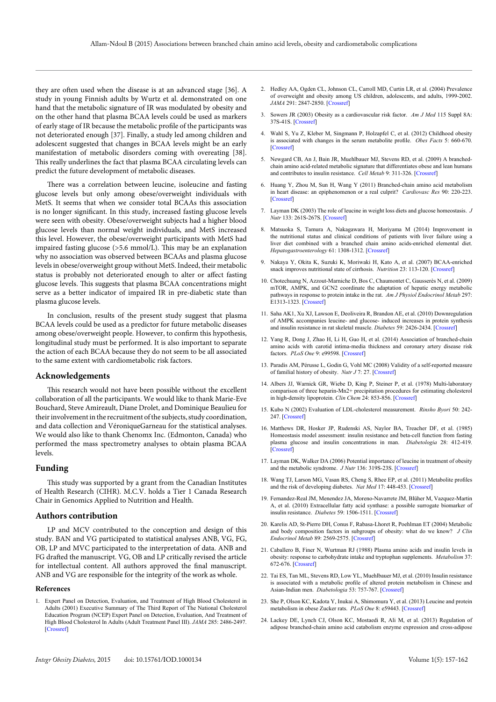they are often used when the disease is at an advanced stage [36]. A study in young Finnish adults by Wurtz et al. demonstrated on one hand that the metabolic signature of IR was modulated by obesity and on the other hand that plasma BCAA levels could be used as markers of early stage of IR because the metabolic profile of the participants was not deteriorated enough [37]. Finally, a study led among children and adolescent suggested that changes in BCAA levels might be an early manifestation of metabolic disorders coming with overeating [38]. This really underlines the fact that plasma BCAA circulating levels can predict the future development of metabolic diseases.

There was a correlation between leucine, isoleucine and fasting glucose levels but only among obese/overweight individuals with MetS. It seems that when we consider total BCAAs this association is no longer significant. In this study, increased fasting glucose levels were seen with obesity. Obese/overweight subjects had a higher blood glucose levels than normal weight individuals, and MetS increased this level. However, the obese/overweight participants with MetS had impaired fasting glucose (>5.6 mmol/L). This may be an explanation why no association was observed between BCAAs and plasma glucose levels in obese/overweight group without MetS. Indeed, their metabolic status is probably not deteriorated enough to alter or affect fasting glucose levels. This suggests that plasma BCAA concentrations might serve as a better indicator of impaired IR in pre-diabetic state than plasma glucose levels.

In conclusion, results of the present study suggest that plasma BCAA levels could be used as a predictor for future metabolic diseases among obese/overweight people. However, to confirm this hypothesis, longitudinal study must be performed. It is also important to separate the action of each BCAA because they do not seem to be all associated to the same extent with cardiometabolic risk factors.

#### **Acknowledgements**

This research would not have been possible without the excellent collaboration of all the participants. We would like to thank Marie-Eve Bouchard, Steve Amireault, Diane Drolet, and Dominique Beaulieu for their involvement in the recruitment of the subjects, study coordination, and data collection and VéroniqueGarneau for the statistical analyses. We would also like to thank Chenomx Inc. (Edmonton, Canada) who performed the mass spectrometry analyses to obtain plasma BCAA levels.

# **Funding**

This study was supported by a grant from the Canadian Institutes of Health Research (CIHR). M.C.V. holds a Tier 1 Canada Research Chair in Genomics Applied to Nutrition and Health.

## **Authors contribution**

LP and MCV contributed to the conception and design of this study. BAN and VG participated to statistical analyses ANB, VG, FG, OB, LP and MVC participated to the interpretation of data. ANB and FG drafted the manuscript. VG, OB and LP critically revised the article for intellectual content. All authors approved the final manuscript. ANB and VG are responsible for the integrity of the work as whole.

#### **References**

1. Expert Panel on Detection, Evaluation, and Treatment of High Blood Cholesterol in Adults (2001) Executive Summary of The Third Report of The National Cholesterol Education Program (NCEP) Expert Panel on Detection, Evaluation, And Treatment of High Blood Cholesterol In Adults (Adult Treatment Panel III). *JAMA* 285: 2486-2497. [\[Crossref\]](http://www.ncbi.nlm.nih.gov/pubmed/11368702)

- 2. Hedley AA, Ogden CL, Johnson CL, Carroll MD, Curtin LR, et al. (2004) Prevalence of overweight and obesity among US children, adolescents, and adults, 1999-2002. *JAMA* 291: 2847-2850. [\[Crossref\]](http://www.ncbi.nlm.nih.gov/pubmed/15199035)
- 3. Sowers JR (2003) Obesity as a cardiovascular risk factor. *Am J Med* 115 Suppl 8A: 37S-41S. [[Crossref](http://www.ncbi.nlm.nih.gov/pubmed/14678864)]
- Wahl S, Yu Z, Kleber M, Singmann P, Holzapfel C, et al. (2012) Childhood obesity is associated with changes in the serum metabolite profile. *Obes Facts* 5: 660-670. [[Crossref\]](http://www.ncbi.nlm.nih.gov/pubmed/23108202)
- 5. Newgard CB, An J, Bain JR, Muehlbauer MJ, Stevens RD, et al. (2009) A branchedchain amino acid-related metabolic signature that differentiates obese and lean humans and contributes to insulin resistance. *Cell Metab* 9: 311-326. [[Crossref](http://www.ncbi.nlm.nih.gov/pubmed/19356713)]
- 6. Huang Y, Zhou M, Sun H, Wang Y (2011) Branched-chain amino acid metabolism in heart disease: an epiphenomenon or a real culprit? *Cardiovasc Res* 90: 220-223. [[Crossref\]](http://www.ncbi.nlm.nih.gov/pubmed/21502372)
- 7. Layman DK (2003) The role of leucine in weight loss diets and glucose homeostasis. *J Nutr* 133: 261S-267S. [\[Crossref](http://www.ncbi.nlm.nih.gov/pubmed/12514305)]
- 8. Matsuoka S, Tamura A, Nakagawara H, Moriyama M (2014) Improvement in the nutritional status and clinical conditions of patients with liver failure using a liver diet combined with a branched chain amino acids-enriched elemental diet. *Hepatogastroenterology* 61: 1308-1312. [[Crossref](http://www.ncbi.nlm.nih.gov/pubmed/25436302)]
- 9. Nakaya Y, Okita K, Suzuki K, Moriwaki H, Kato A, et al. (2007) BCAA-enriched snack improves nutritional state of cirrhosis. *Nutrition* 23: 113-120. [[Crossref](http://www.ncbi.nlm.nih.gov/pubmed/17234504)]
- 10. Chotechuang N, Azzout-Marniche D, Bos C, Chaumontet C, Gausserès N, et al. (2009) mTOR, AMPK, and GCN2 coordinate the adaptation of hepatic energy metabolic pathways in response to protein intake in the rat. *Am J Physiol Endocrinol Metab* 297: E1313-1323. [\[Crossref\]](http://www.ncbi.nlm.nih.gov/pubmed/19738034)
- 11. Saha AK1, Xu XJ, Lawson E, Deoliveira R, Brandon AE, et al. (2010) Downregulation of AMPK accompanies leucine- and glucose- induced increases in protein synthesis and insulin resistance in rat skeletal muscle. *Diabetes* 59: 2426-2434. [[Crossref\]](http://www.ncbi.nlm.nih.gov/pubmed/20682696)
- 12. Yang R, Dong J, Zhao H, Li H, Guo H, et al. (2014) Association of branched-chain amino acids with carotid intima-media thickness and coronary artery disease risk factors. *PLoS One* 9: e99598. [[Crossref\]](http://www.ncbi.nlm.nih.gov/pubmed/24910999)
- 13. Paradis AM, Pérusse L, Godin G, Vohl MC (2008) Validity of a self-reported measure of familial history of obesity. *Nutr J* 7: 27. [\[Crossref](http://www.ncbi.nlm.nih.gov/pubmed/18783616)]
- 14. Albers JJ, Warnick GR, Wiebe D, King P, Steiner P, et al. (1978) Multi-laboratory comparison of three heparin-Mn2+ precipitation procedures for estimating cholesterol in high-density lipoprotein. *Clin Chem* 24: 853-856. [\[Crossref](http://www.ncbi.nlm.nih.gov/pubmed/207461)]
- 15. Kubo N (2002) Evaluation of LDL-cholesterol measurement. *Rinsho Byori* 50: 242- 247. [[Crossref\]](http://www.ncbi.nlm.nih.gov/pubmed/11985050)
- 16. Matthews DR, Hosker JP, Rudenski AS, Naylor BA, Treacher DF, et al. (1985) Homeostasis model assessment: insulin resistance and beta-cell function from fasting plasma glucose and insulin concentrations in man. *Diabetologia* 28: 412-419. [[Crossref\]](http://www.ncbi.nlm.nih.gov/pubmed/3899825)
- 17. Layman DK, Walker DA (2006) Potential importance of leucine in treatment of obesity and the metabolic syndrome. *J Nutr* 136: 319S-23S. [\[Crossref\]](http://www.ncbi.nlm.nih.gov/pubmed/16365106)
- 18. Wang TJ, Larson MG, Vasan RS, Cheng S, Rhee EP, et al. (2011) Metabolite profiles and the risk of developing diabetes. *Nat Med* 17: 448-453. [[Crossref](http://www.ncbi.nlm.nih.gov/pubmed/21423183)]
- 19. Fernandez-Real JM, Menendez JA, Moreno-Navarrete JM, Blüher M, Vazquez-Martin A, et al. (2010) Extracellular fatty acid synthase: a possible surrogate biomarker of insulin resistance. *Diabetes* 59: 1506-1511. [[Crossref](http://www.ncbi.nlm.nih.gov/pubmed/20299470)]
- 20. Karelis AD, St-Pierre DH, Conus F, Rabasa-Lhoret R, Poehlman ET (2004) Metabolic and body composition factors in subgroups of obesity: what do we know? *J Clin Endocrinol Metab* 89: 2569-2575. [\[Crossref](http://www.ncbi.nlm.nih.gov/pubmed/15181025)]
- 21. Caballero B, Finer N, Wurtman RJ (1988) Plasma amino acids and insulin levels in obesity: response to carbohydrate intake and tryptophan supplements. *Metabolism* 37: 672-676. [[Crossref](http://www.ncbi.nlm.nih.gov/pubmed/3290625)]
- 22. Tai ES, Tan ML, Stevens RD, Low YL, Muehlbauer MJ, et al. (2010) Insulin resistance is associated with a metabolic profile of altered protein metabolism in Chinese and Asian-Indian men. *Diabetologia* 53: 757-767. [[Crossref](http://www.ncbi.nlm.nih.gov/pubmed/20076942)]
- 23. She P, Olson KC, Kadota Y, Inukai A, Shimomura Y, et al. (2013) Leucine and protein metabolism in obese Zucker rats. *PLoS One* 8: e59443. [[Crossref](http://www.ncbi.nlm.nih.gov/pubmed/23527196)]
- 24. Lackey DE, Lynch CJ, Olson KC, Mostaedi R, Ali M, et al. (2013) Regulation of adipose branched-chain amino acid catabolism enzyme expression and cross-adipose